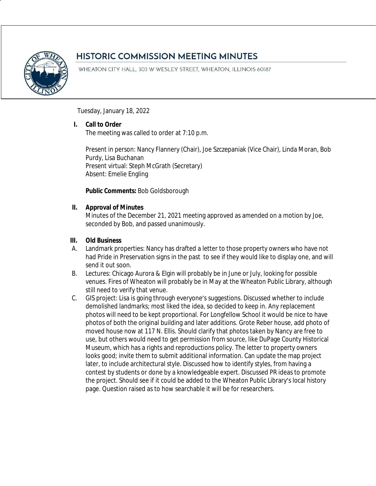

# **HISTORIC COMMISSION MEETING MINUTES**

WHEATON CITY HALL, 303 W WESLEY STREET, WHEATON, ILLINOIS 60187

Tuesday, January 18, 2022

## **I. Call to Order**

The meeting was called to order at 7:10 p.m.

Present in person: Nancy Flannery (Chair), Joe Szczepaniak (Vice Chair), Linda Moran, Bob Purdy, Lisa Buchanan Present virtual: Steph McGrath (Secretary) Absent: Emelie Engling

## **Public Comments:** Bob Goldsborough

#### **II. Approval of Minutes**

Minutes of the December 21, 2021 meeting approved as amended on a motion by Joe, seconded by Bob, and passed unanimously.

### **III. Old Business**

- A. Landmark properties: Nancy has drafted a letter to those property owners who have not had Pride in Preservation signs in the past to see if they would like to display one, and will send it out soon.
- B. Lectures: Chicago Aurora & Elgin will probably be in June or July, looking for possible venues. Fires of Wheaton will probably be in May at the Wheaton Public Library, although still need to verify that venue.
- C. GIS project: Lisa is going through everyone's suggestions. Discussed whether to include demolished landmarks; most liked the idea, so decided to keep in. Any replacement photos will need to be kept proportional. For Longfellow School it would be nice to have photos of both the original building and later additions. Grote Reber house, add photo of moved house now at 117 N. Ellis. Should clarify that photos taken by Nancy are free to use, but others would need to get permission from source, like DuPage County Historical Museum, which has a rights and reproductions policy. The letter to property owners looks good; invite them to submit additional information. Can update the map project later, to include architectural style. Discussed how to identify styles, from having a contest by students or done by a knowledgeable expert. Discussed PR ideas to promote the project. Should see if it could be added to the Wheaton Public Library's local history page. Question raised as to how searchable it will be for researchers.